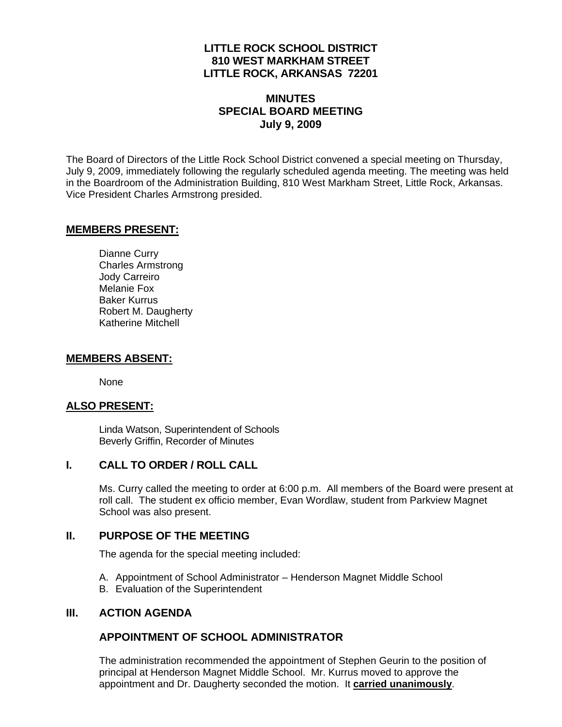## **LITTLE ROCK SCHOOL DISTRICT 810 WEST MARKHAM STREET LITTLE ROCK, ARKANSAS 72201**

# **MINUTES SPECIAL BOARD MEETING July 9, 2009**

The Board of Directors of the Little Rock School District convened a special meeting on Thursday, July 9, 2009, immediately following the regularly scheduled agenda meeting. The meeting was held in the Boardroom of the Administration Building, 810 West Markham Street, Little Rock, Arkansas. Vice President Charles Armstrong presided.

#### **MEMBERS PRESENT:**

Dianne Curry Charles Armstrong Jody Carreiro Melanie Fox Baker Kurrus Robert M. Daugherty Katherine Mitchell

#### **MEMBERS ABSENT:**

None

# **ALSO PRESENT:**

 Linda Watson, Superintendent of Schools Beverly Griffin, Recorder of Minutes

#### **I. CALL TO ORDER / ROLL CALL**

Ms. Curry called the meeting to order at 6:00 p.m. All members of the Board were present at roll call. The student ex officio member, Evan Wordlaw, student from Parkview Magnet School was also present.

#### **II. PURPOSE OF THE MEETING**

The agenda for the special meeting included:

- A. Appointment of School Administrator Henderson Magnet Middle School
- B. Evaluation of the Superintendent

#### **III. ACTION AGENDA**

### **APPOINTMENT OF SCHOOL ADMINISTRATOR**

The administration recommended the appointment of Stephen Geurin to the position of principal at Henderson Magnet Middle School. Mr. Kurrus moved to approve the appointment and Dr. Daugherty seconded the motion. It **carried unanimously**.